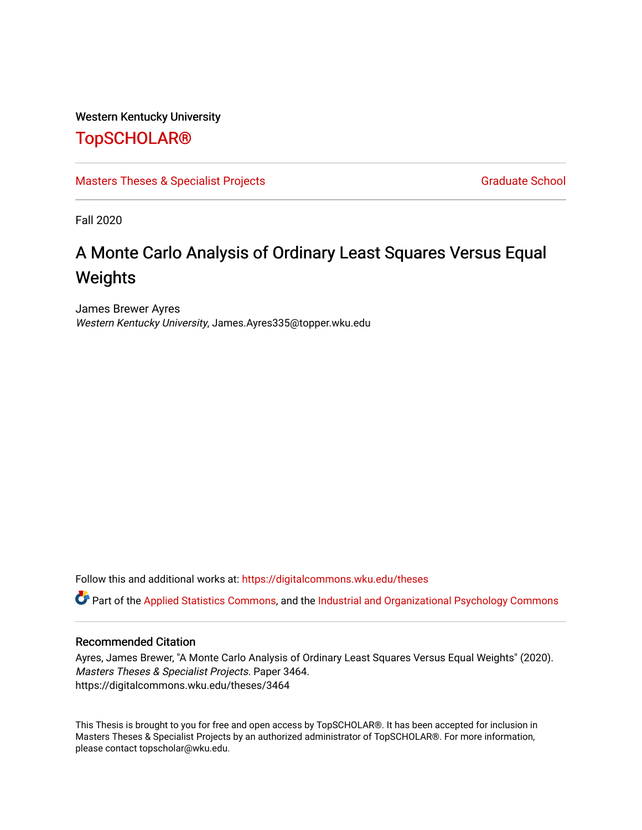Western Kentucky University

# [TopSCHOLAR®](https://digitalcommons.wku.edu/)

[Masters Theses & Specialist Projects](https://digitalcommons.wku.edu/theses) [Graduate School](https://digitalcommons.wku.edu/Graduate) Graduate School

Fall 2020

# A Monte Carlo Analysis of Ordinary Least Squares Versus Equal Weights

James Brewer Ayres Western Kentucky University, James.Ayres335@topper.wku.edu

Follow this and additional works at: [https://digitalcommons.wku.edu/theses](https://digitalcommons.wku.edu/theses?utm_source=digitalcommons.wku.edu%2Ftheses%2F3464&utm_medium=PDF&utm_campaign=PDFCoverPages) 

Part of the [Applied Statistics Commons](http://network.bepress.com/hgg/discipline/209?utm_source=digitalcommons.wku.edu%2Ftheses%2F3464&utm_medium=PDF&utm_campaign=PDFCoverPages), and the [Industrial and Organizational Psychology Commons](http://network.bepress.com/hgg/discipline/412?utm_source=digitalcommons.wku.edu%2Ftheses%2F3464&utm_medium=PDF&utm_campaign=PDFCoverPages) 

### Recommended Citation

Ayres, James Brewer, "A Monte Carlo Analysis of Ordinary Least Squares Versus Equal Weights" (2020). Masters Theses & Specialist Projects. Paper 3464. https://digitalcommons.wku.edu/theses/3464

This Thesis is brought to you for free and open access by TopSCHOLAR®. It has been accepted for inclusion in Masters Theses & Specialist Projects by an authorized administrator of TopSCHOLAR®. For more information, please contact topscholar@wku.edu.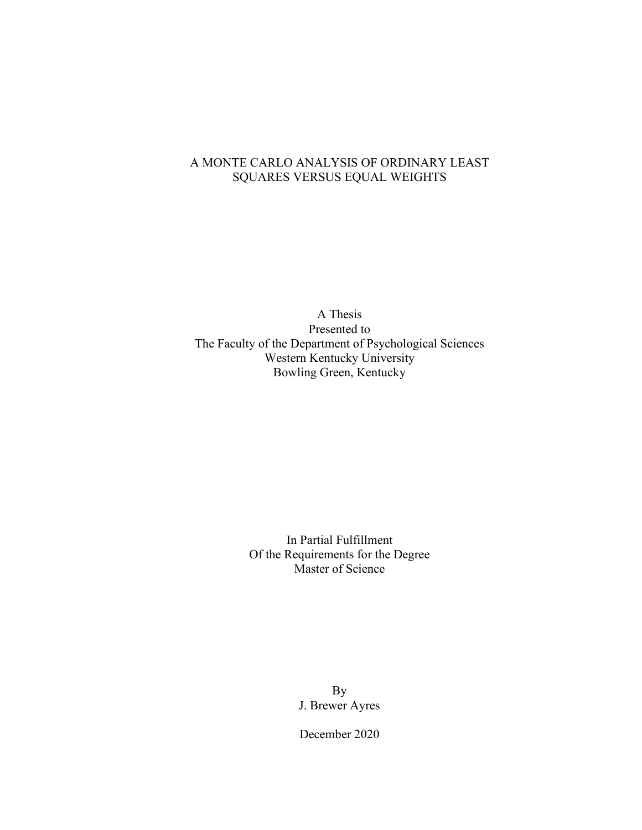### A MONTE CARLO ANALYSIS OF ORDINARY LEAST SQUARES VERSUS EQUAL WEIGHTS

A Thesis Presented to The Faculty of the Department of Psychological Sciences Western Kentucky University Bowling Green, Kentucky

> In Partial Fulfillment Of the Requirements for the Degree Master of Science

> > By J. Brewer Ayres

December 2020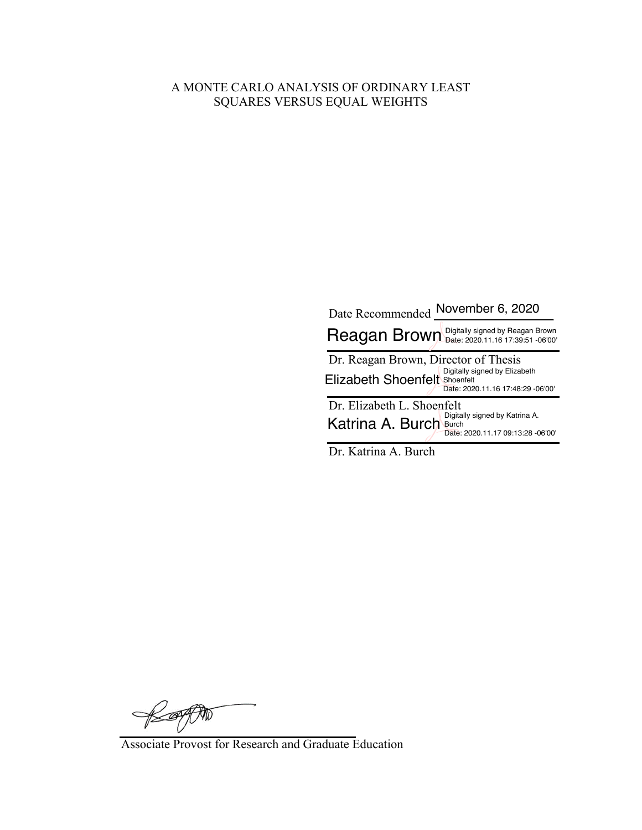### A MONTE CARLO ANALYSIS OF ORDINARY LEAST SQUARES VERSUS EQUAL WEIGHTS

| Date Recommended November 6, 2020                                                                                                           |
|---------------------------------------------------------------------------------------------------------------------------------------------|
| Reagan Brown Digitally signed by Reagan Brown                                                                                               |
| Dr. Reagan Brown, Director of Thesis<br>Digitally signed by Elizabeth<br>Elizabeth Shoenfelt Shoenfelt<br>Date: 2020.11.16 17:48:29 -06'00' |
| Dr. Elizabeth L. Shoenfelt<br>Digitally signed by Katrina A.<br>Katrina A. Burch Burch<br>Date: 2020.11.17 09:13:28 -06'00'                 |

Dr. Katrina A. Burch

RESPON

Associate Provost for Research and Graduate Education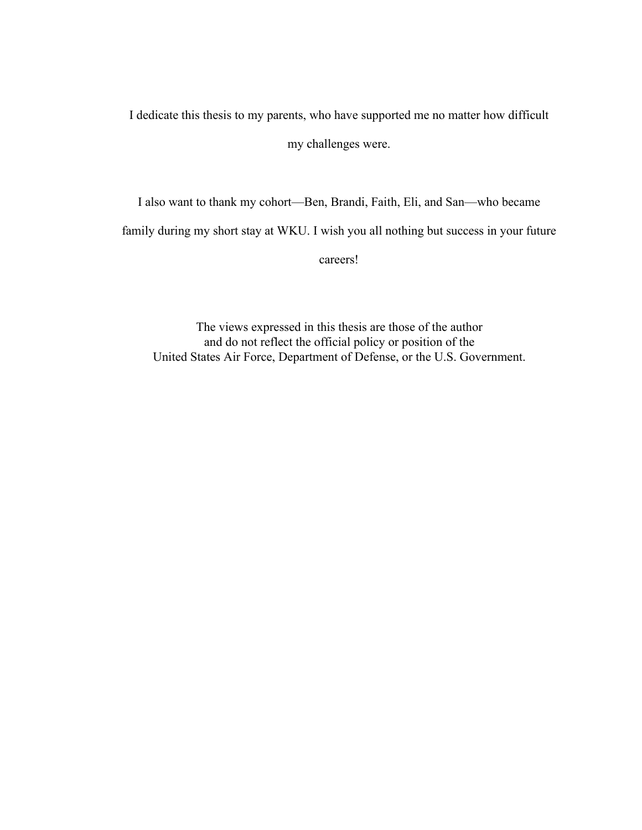I dedicate this thesis to my parents, who have supported me no matter how difficult my challenges were.

I also want to thank my cohort—Ben, Brandi, Faith, Eli, and San—who became

family during my short stay at WKU. I wish you all nothing but success in your future

careers!

The views expressed in this thesis are those of the author and do not reflect the official policy or position of the United States Air Force, Department of Defense, or the U.S. Government.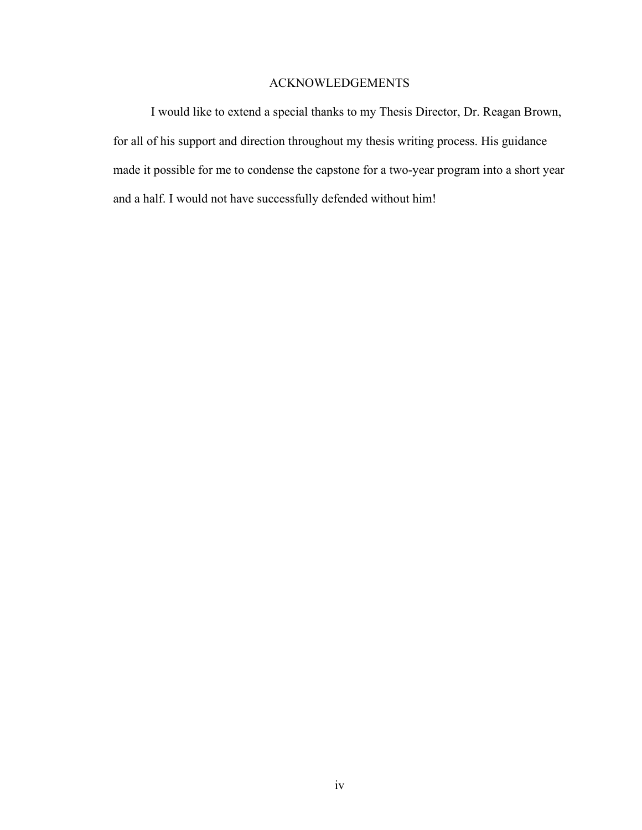### ACKNOWLEDGEMENTS

I would like to extend a special thanks to my Thesis Director, Dr. Reagan Brown, for all of his support and direction throughout my thesis writing process. His guidance made it possible for me to condense the capstone for a two-year program into a short year and a half. I would not have successfully defended without him!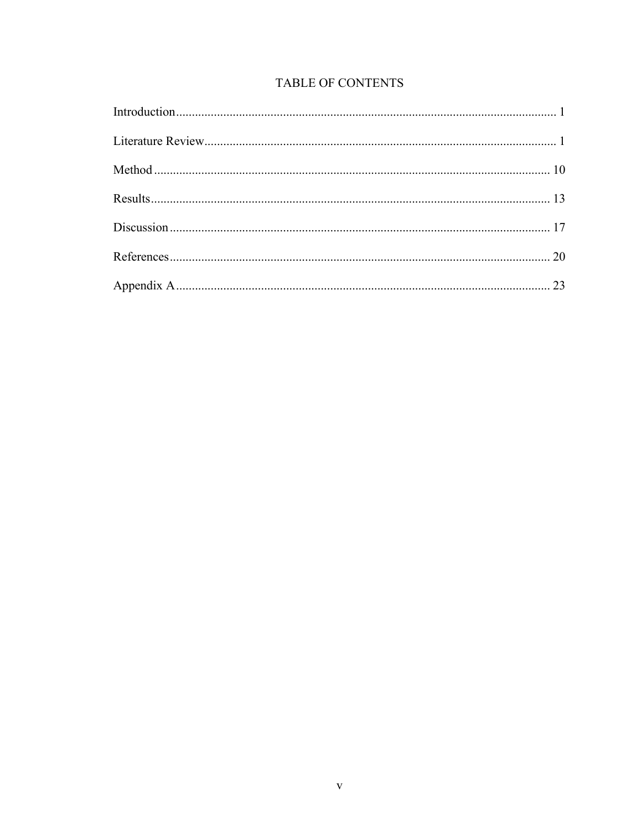# TABLE OF CONTENTS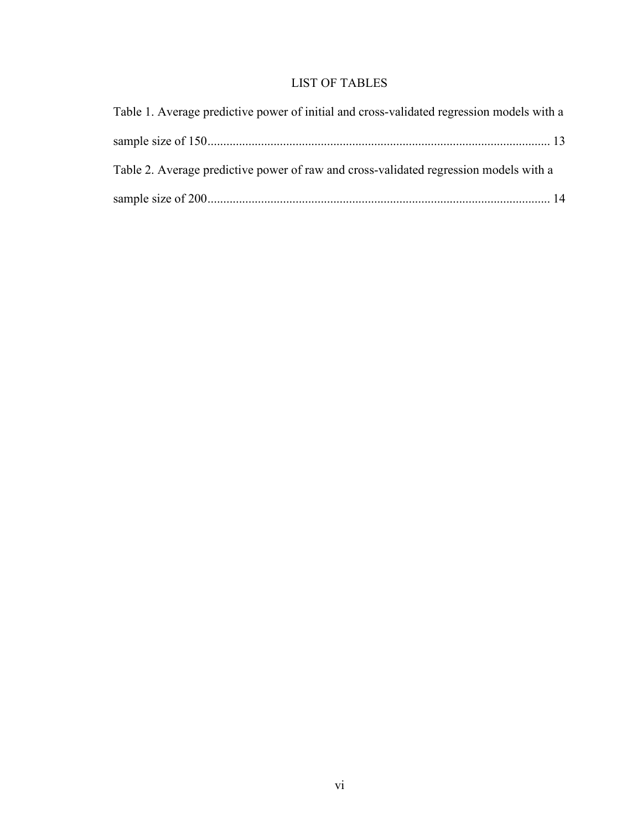# LIST OF TABLES

| Table 1. Average predictive power of initial and cross-validated regression models with a |  |
|-------------------------------------------------------------------------------------------|--|
|                                                                                           |  |
| Table 2. Average predictive power of raw and cross-validated regression models with a     |  |
|                                                                                           |  |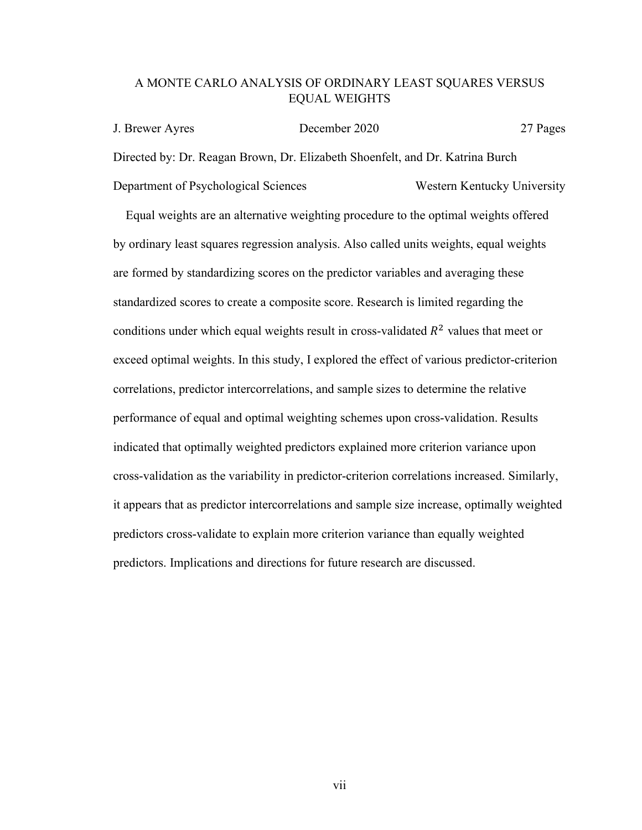### A MONTE CARLO ANALYSIS OF ORDINARY LEAST SQUARES VERSUS EQUAL WEIGHTS

J. Brewer Ayres December 2020 27 Pages Directed by: Dr. Reagan Brown, Dr. Elizabeth Shoenfelt, and Dr. Katrina Burch Department of Psychological Sciences Western Kentucky University

 Equal weights are an alternative weighting procedure to the optimal weights offered by ordinary least squares regression analysis. Also called units weights, equal weights are formed by standardizing scores on the predictor variables and averaging these standardized scores to create a composite score. Research is limited regarding the conditions under which equal weights result in cross-validated  $R^2$  values that meet or exceed optimal weights. In this study, I explored the effect of various predictor-criterion correlations, predictor intercorrelations, and sample sizes to determine the relative performance of equal and optimal weighting schemes upon cross-validation. Results indicated that optimally weighted predictors explained more criterion variance upon cross-validation as the variability in predictor-criterion correlations increased. Similarly, it appears that as predictor intercorrelations and sample size increase, optimally weighted predictors cross-validate to explain more criterion variance than equally weighted predictors. Implications and directions for future research are discussed.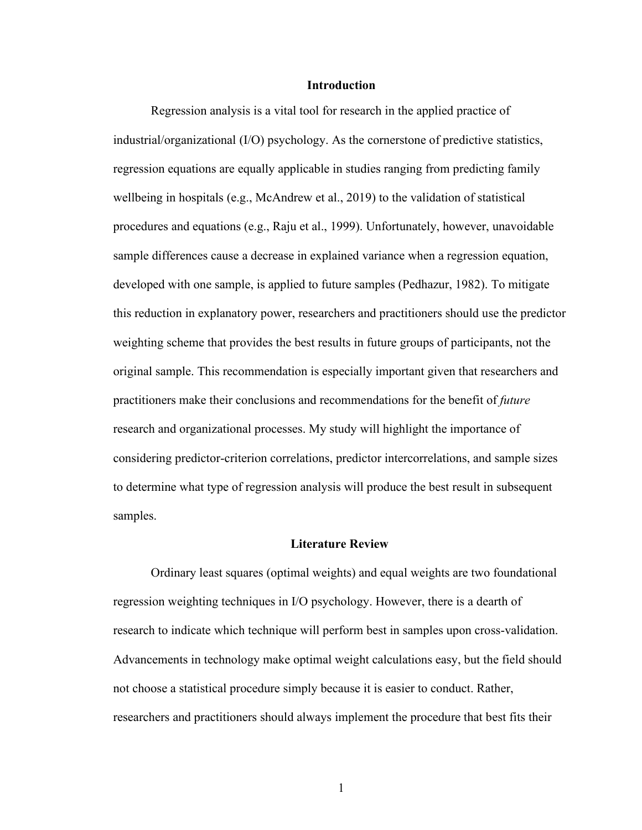#### **Introduction**

Regression analysis is a vital tool for research in the applied practice of industrial/organizational (I/O) psychology. As the cornerstone of predictive statistics, regression equations are equally applicable in studies ranging from predicting family wellbeing in hospitals (e.g., McAndrew et al., 2019) to the validation of statistical procedures and equations (e.g., Raju et al., 1999). Unfortunately, however, unavoidable sample differences cause a decrease in explained variance when a regression equation, developed with one sample, is applied to future samples (Pedhazur, 1982). To mitigate this reduction in explanatory power, researchers and practitioners should use the predictor weighting scheme that provides the best results in future groups of participants, not the original sample. This recommendation is especially important given that researchers and practitioners make their conclusions and recommendations for the benefit of *future* research and organizational processes. My study will highlight the importance of considering predictor-criterion correlations, predictor intercorrelations, and sample sizes to determine what type of regression analysis will produce the best result in subsequent samples.

#### **Literature Review**

Ordinary least squares (optimal weights) and equal weights are two foundational regression weighting techniques in I/O psychology. However, there is a dearth of research to indicate which technique will perform best in samples upon cross-validation. Advancements in technology make optimal weight calculations easy, but the field should not choose a statistical procedure simply because it is easier to conduct. Rather, researchers and practitioners should always implement the procedure that best fits their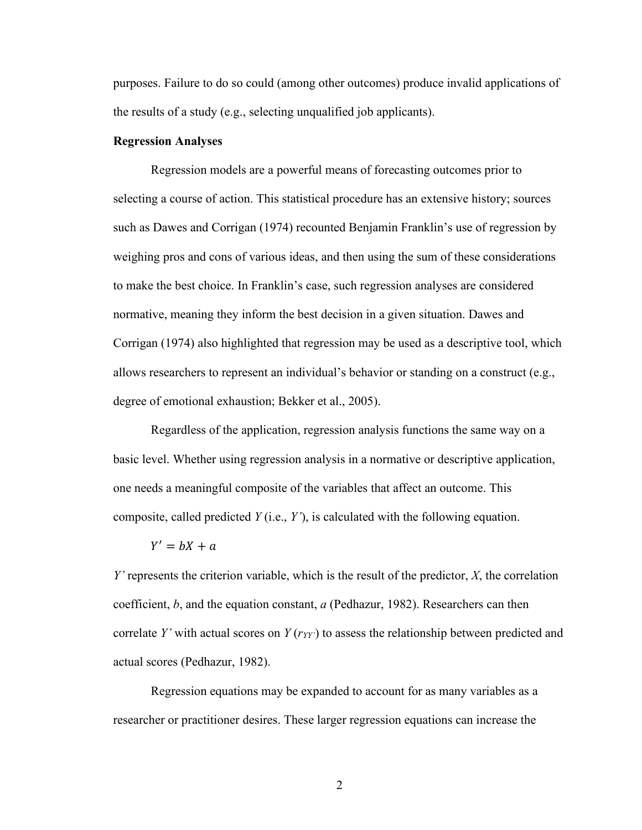purposes. Failure to do so could (among other outcomes) produce invalid applications of the results of a study (e.g., selecting unqualified job applicants).

#### **Regression Analyses**

Regression models are a powerful means of forecasting outcomes prior to selecting a course of action. This statistical procedure has an extensive history; sources such as Dawes and Corrigan (1974) recounted Benjamin Franklin's use of regression by weighing pros and cons of various ideas, and then using the sum of these considerations to make the best choice. In Franklin's case, such regression analyses are considered normative, meaning they inform the best decision in a given situation. Dawes and Corrigan (1974) also highlighted that regression may be used as a descriptive tool, which allows researchers to represent an individual's behavior or standing on a construct (e.g., degree of emotional exhaustion; Bekker et al., 2005).

Regardless of the application, regression analysis functions the same way on a basic level. Whether using regression analysis in a normative or descriptive application, one needs a meaningful composite of the variables that affect an outcome. This composite, called predicted *Y* (i.e., *Y'*), is calculated with the following equation.

#### $Y' = hX + a$

*Y'* represents the criterion variable, which is the result of the predictor, *X*, the correlation coefficient, *b*, and the equation constant, *a* (Pedhazur, 1982). Researchers can then correlate *Y*' with actual scores on  $Y(r_{YY})$  to assess the relationship between predicted and actual scores (Pedhazur, 1982).

Regression equations may be expanded to account for as many variables as a researcher or practitioner desires. These larger regression equations can increase the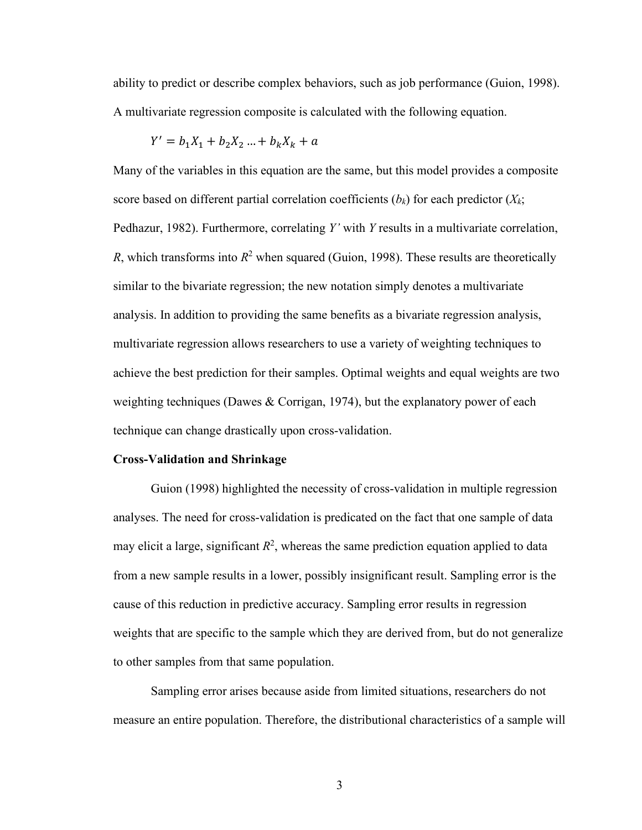ability to predict or describe complex behaviors, such as job performance (Guion, 1998). A multivariate regression composite is calculated with the following equation.

$$
Y' = b_1 X_1 + b_2 X_2 \dots + b_k X_k + a
$$

Many of the variables in this equation are the same, but this model provides a composite score based on different partial correlation coefficients  $(b_k)$  for each predictor  $(X_k;$ Pedhazur, 1982). Furthermore, correlating *Y'* with *Y* results in a multivariate correlation, *R*, which transforms into  $R^2$  when squared (Guion, 1998). These results are theoretically similar to the bivariate regression; the new notation simply denotes a multivariate analysis. In addition to providing the same benefits as a bivariate regression analysis, multivariate regression allows researchers to use a variety of weighting techniques to achieve the best prediction for their samples. Optimal weights and equal weights are two weighting techniques (Dawes & Corrigan, 1974), but the explanatory power of each technique can change drastically upon cross-validation.

#### **Cross-Validation and Shrinkage**

Guion (1998) highlighted the necessity of cross-validation in multiple regression analyses. The need for cross-validation is predicated on the fact that one sample of data may elicit a large, significant  $R^2$ , whereas the same prediction equation applied to data from a new sample results in a lower, possibly insignificant result. Sampling error is the cause of this reduction in predictive accuracy. Sampling error results in regression weights that are specific to the sample which they are derived from, but do not generalize to other samples from that same population.

Sampling error arises because aside from limited situations, researchers do not measure an entire population. Therefore, the distributional characteristics of a sample will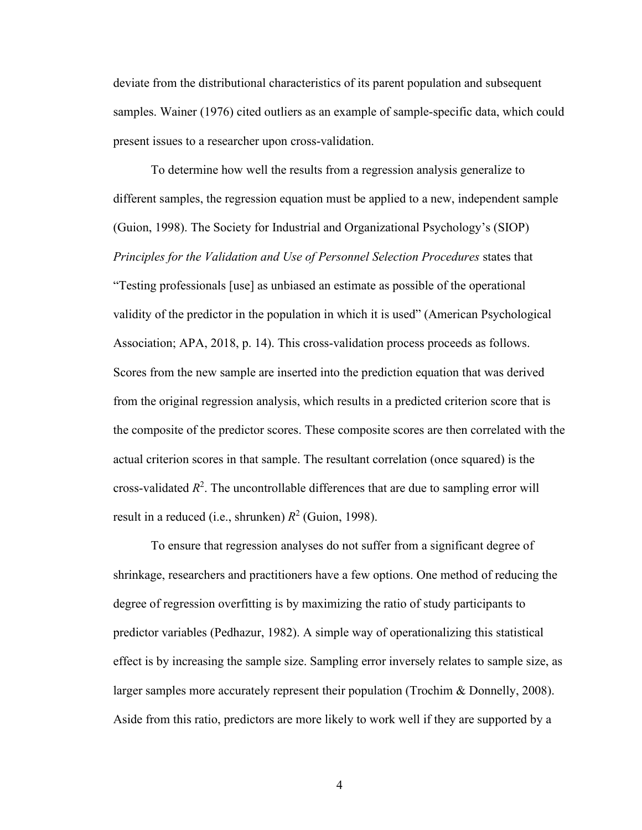deviate from the distributional characteristics of its parent population and subsequent samples. Wainer (1976) cited outliers as an example of sample-specific data, which could present issues to a researcher upon cross-validation.

To determine how well the results from a regression analysis generalize to different samples, the regression equation must be applied to a new, independent sample (Guion, 1998). The Society for Industrial and Organizational Psychology's (SIOP) *Principles for the Validation and Use of Personnel Selection Procedures* states that "Testing professionals [use] as unbiased an estimate as possible of the operational validity of the predictor in the population in which it is used" (American Psychological Association; APA, 2018, p. 14). This cross-validation process proceeds as follows. Scores from the new sample are inserted into the prediction equation that was derived from the original regression analysis, which results in a predicted criterion score that is the composite of the predictor scores. These composite scores are then correlated with the actual criterion scores in that sample. The resultant correlation (once squared) is the cross-validated  $R^2$ . The uncontrollable differences that are due to sampling error will result in a reduced (i.e., shrunken)  $R^2$  (Guion, 1998).

To ensure that regression analyses do not suffer from a significant degree of shrinkage, researchers and practitioners have a few options. One method of reducing the degree of regression overfitting is by maximizing the ratio of study participants to predictor variables (Pedhazur, 1982). A simple way of operationalizing this statistical effect is by increasing the sample size. Sampling error inversely relates to sample size, as larger samples more accurately represent their population (Trochim & Donnelly, 2008). Aside from this ratio, predictors are more likely to work well if they are supported by a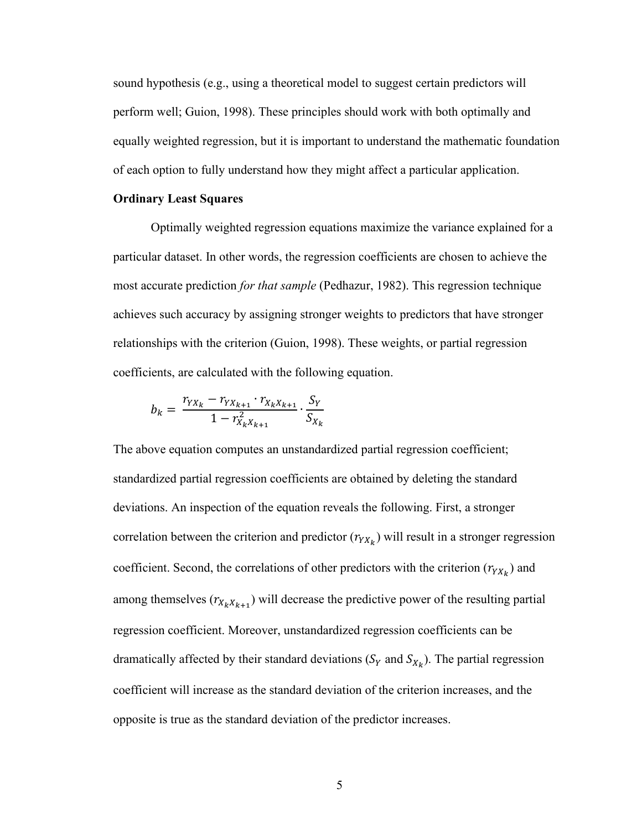sound hypothesis (e.g., using a theoretical model to suggest certain predictors will perform well; Guion, 1998). These principles should work with both optimally and equally weighted regression, but it is important to understand the mathematic foundation of each option to fully understand how they might affect a particular application.

#### **Ordinary Least Squares**

Optimally weighted regression equations maximize the variance explained for a particular dataset. In other words, the regression coefficients are chosen to achieve the most accurate prediction *for that sample* (Pedhazur, 1982). This regression technique achieves such accuracy by assigning stronger weights to predictors that have stronger relationships with the criterion (Guion, 1998). These weights, or partial regression coefficients, are calculated with the following equation.

$$
b_k = \frac{r_{YX_k} - r_{YX_{k+1}} \cdot r_{X_k X_{k+1}}}{1 - r_{X_k X_{k+1}}^2} \cdot \frac{S_Y}{S_{X_k}}
$$

The above equation computes an unstandardized partial regression coefficient; standardized partial regression coefficients are obtained by deleting the standard deviations. An inspection of the equation reveals the following. First, a stronger correlation between the criterion and predictor  $(r_{YX_k})$  will result in a stronger regression coefficient. Second, the correlations of other predictors with the criterion  $(r_{YX_k})$  and among themselves  $(r_{X_kX_{k+1}})$  will decrease the predictive power of the resulting partial regression coefficient. Moreover, unstandardized regression coefficients can be dramatically affected by their standard deviations ( $S_Y$  and  $S_{X_k}$ ). The partial regression coefficient will increase as the standard deviation of the criterion increases, and the opposite is true as the standard deviation of the predictor increases.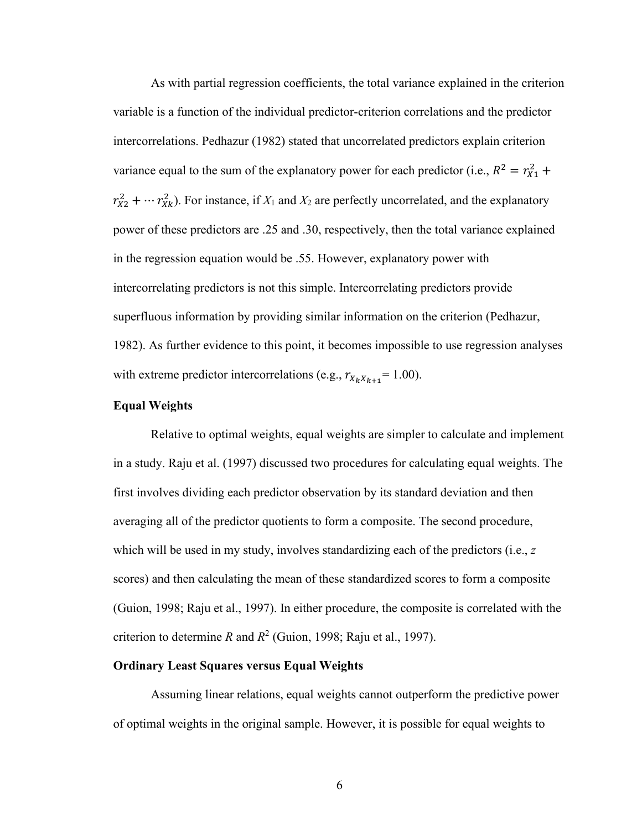As with partial regression coefficients, the total variance explained in the criterion variable is a function of the individual predictor-criterion correlations and the predictor intercorrelations. Pedhazur (1982) stated that uncorrelated predictors explain criterion variance equal to the sum of the explanatory power for each predictor (i.e.,  $R^2 = r_{X1}^2 +$  $r_{X2}^2 + \cdots r_{Xk}^2$ ). For instance, if  $X_1$  and  $X_2$  are perfectly uncorrelated, and the explanatory power of these predictors are .25 and .30, respectively, then the total variance explained in the regression equation would be .55. However, explanatory power with intercorrelating predictors is not this simple. Intercorrelating predictors provide superfluous information by providing similar information on the criterion (Pedhazur, 1982). As further evidence to this point, it becomes impossible to use regression analyses with extreme predictor intercorrelations (e.g.,  $r_{X_k X_{k+1}} = 1.00$ ).

### **Equal Weights**

Relative to optimal weights, equal weights are simpler to calculate and implement in a study. Raju et al. (1997) discussed two procedures for calculating equal weights. The first involves dividing each predictor observation by its standard deviation and then averaging all of the predictor quotients to form a composite. The second procedure, which will be used in my study, involves standardizing each of the predictors (i.e., z scores) and then calculating the mean of these standardized scores to form a composite (Guion, 1998; Raju et al., 1997). In either procedure, the composite is correlated with the criterion to determine *R* and  $R^2$  (Guion, 1998; Raju et al., 1997).

### **Ordinary Least Squares versus Equal Weights**

Assuming linear relations, equal weights cannot outperform the predictive power of optimal weights in the original sample. However, it is possible for equal weights to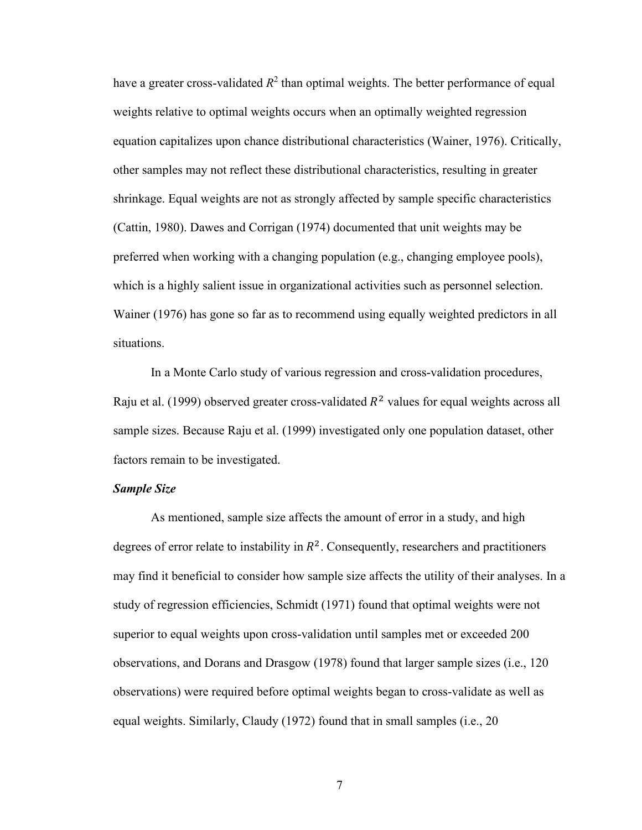have a greater cross-validated  $R^2$  than optimal weights. The better performance of equal weights relative to optimal weights occurs when an optimally weighted regression equation capitalizes upon chance distributional characteristics (Wainer, 1976). Critically, other samples may not reflect these distributional characteristics, resulting in greater shrinkage. Equal weights are not as strongly affected by sample specific characteristics (Cattin, 1980). Dawes and Corrigan (1974) documented that unit weights may be preferred when working with a changing population (e.g., changing employee pools), which is a highly salient issue in organizational activities such as personnel selection. Wainer (1976) has gone so far as to recommend using equally weighted predictors in all situations.

In a Monte Carlo study of various regression and cross-validation procedures, Raju et al. (1999) observed greater cross-validated  $R^2$  values for equal weights across all sample sizes. Because Raju et al. (1999) investigated only one population dataset, other factors remain to be investigated.

### *Sample Size*

As mentioned, sample size affects the amount of error in a study, and high degrees of error relate to instability in  $R^2$ . Consequently, researchers and practitioners may find it beneficial to consider how sample size affects the utility of their analyses. In a study of regression efficiencies, Schmidt (1971) found that optimal weights were not superior to equal weights upon cross-validation until samples met or exceeded 200 observations, and Dorans and Drasgow (1978) found that larger sample sizes (i.e., 120 observations) were required before optimal weights began to cross-validate as well as equal weights. Similarly, Claudy (1972) found that in small samples (i.e., 20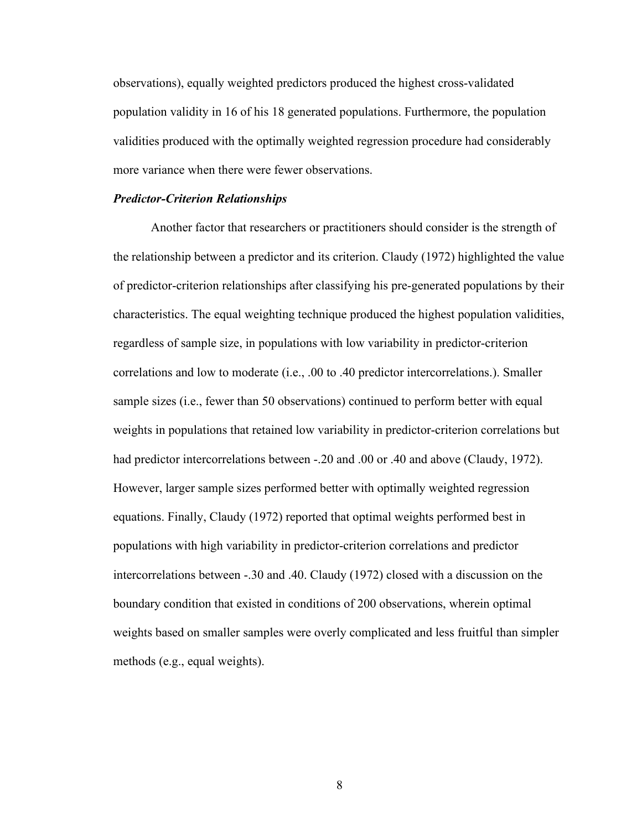observations), equally weighted predictors produced the highest cross-validated population validity in 16 of his 18 generated populations. Furthermore, the population validities produced with the optimally weighted regression procedure had considerably more variance when there were fewer observations.

#### *Predictor-Criterion Relationships*

Another factor that researchers or practitioners should consider is the strength of the relationship between a predictor and its criterion. Claudy (1972) highlighted the value of predictor-criterion relationships after classifying his pre-generated populations by their characteristics. The equal weighting technique produced the highest population validities, regardless of sample size, in populations with low variability in predictor-criterion correlations and low to moderate (i.e., .00 to .40 predictor intercorrelations.). Smaller sample sizes (i.e., fewer than 50 observations) continued to perform better with equal weights in populations that retained low variability in predictor-criterion correlations but had predictor intercorrelations between -.20 and .00 or .40 and above (Claudy, 1972). However, larger sample sizes performed better with optimally weighted regression equations. Finally, Claudy (1972) reported that optimal weights performed best in populations with high variability in predictor-criterion correlations and predictor intercorrelations between -.30 and .40. Claudy (1972) closed with a discussion on the boundary condition that existed in conditions of 200 observations, wherein optimal weights based on smaller samples were overly complicated and less fruitful than simpler methods (e.g., equal weights).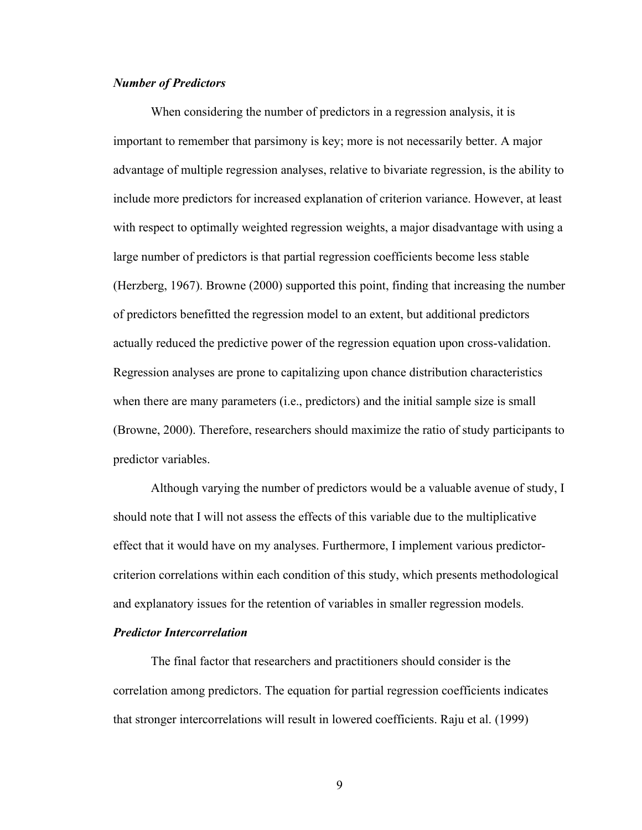### *Number of Predictors*

When considering the number of predictors in a regression analysis, it is important to remember that parsimony is key; more is not necessarily better. A major advantage of multiple regression analyses, relative to bivariate regression, is the ability to include more predictors for increased explanation of criterion variance. However, at least with respect to optimally weighted regression weights, a major disadvantage with using a large number of predictors is that partial regression coefficients become less stable (Herzberg, 1967). Browne (2000) supported this point, finding that increasing the number of predictors benefitted the regression model to an extent, but additional predictors actually reduced the predictive power of the regression equation upon cross-validation. Regression analyses are prone to capitalizing upon chance distribution characteristics when there are many parameters (i.e., predictors) and the initial sample size is small (Browne, 2000). Therefore, researchers should maximize the ratio of study participants to predictor variables.

Although varying the number of predictors would be a valuable avenue of study, I should note that I will not assess the effects of this variable due to the multiplicative effect that it would have on my analyses. Furthermore, I implement various predictorcriterion correlations within each condition of this study, which presents methodological and explanatory issues for the retention of variables in smaller regression models.

### *Predictor Intercorrelation*

The final factor that researchers and practitioners should consider is the correlation among predictors. The equation for partial regression coefficients indicates that stronger intercorrelations will result in lowered coefficients. Raju et al. (1999)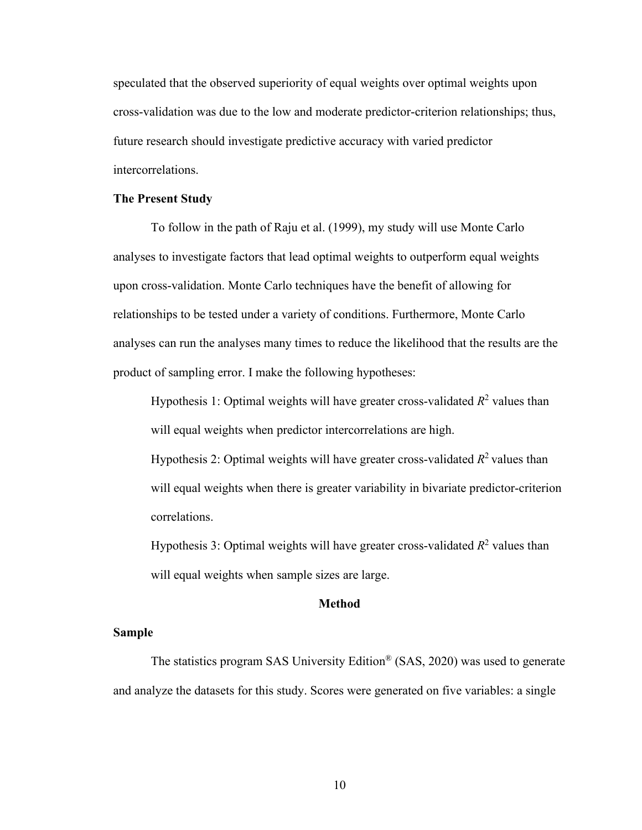speculated that the observed superiority of equal weights over optimal weights upon cross-validation was due to the low and moderate predictor-criterion relationships; thus, future research should investigate predictive accuracy with varied predictor intercorrelations.

#### **The Present Study**

To follow in the path of Raju et al. (1999), my study will use Monte Carlo analyses to investigate factors that lead optimal weights to outperform equal weights upon cross-validation. Monte Carlo techniques have the benefit of allowing for relationships to be tested under a variety of conditions. Furthermore, Monte Carlo analyses can run the analyses many times to reduce the likelihood that the results are the product of sampling error. I make the following hypotheses:

Hypothesis 1: Optimal weights will have greater cross-validated  $R^2$  values than will equal weights when predictor intercorrelations are high. Hypothesis 2: Optimal weights will have greater cross-validated  $R^2$  values than will equal weights when there is greater variability in bivariate predictor-criterion correlations.

Hypothesis 3: Optimal weights will have greater cross-validated  $R^2$  values than will equal weights when sample sizes are large.

#### **Method**

### **Sample**

The statistics program SAS University Edition® (SAS, 2020) was used to generate and analyze the datasets for this study. Scores were generated on five variables: a single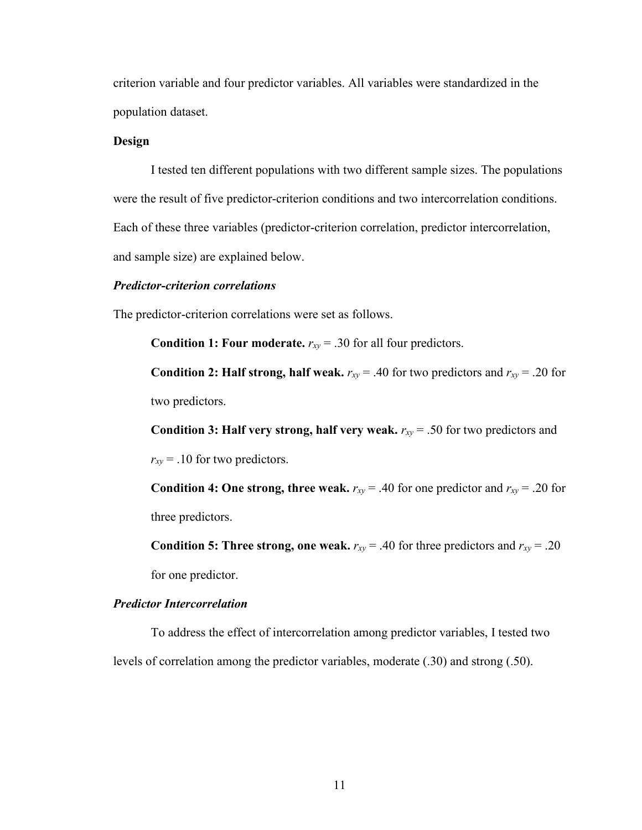criterion variable and four predictor variables. All variables were standardized in the population dataset.

### **Design**

I tested ten different populations with two different sample sizes. The populations were the result of five predictor-criterion conditions and two intercorrelation conditions. Each of these three variables (predictor-criterion correlation, predictor intercorrelation, and sample size) are explained below.

#### *Predictor-criterion correlations*

The predictor-criterion correlations were set as follows.

**Condition 1: Four moderate.**  $r_{xy} = .30$  for all four predictors.

**Condition 2: Half strong, half weak.**  $r_{xy} = .40$  for two predictors and  $r_{xy} = .20$  for two predictors.

**Condition 3: Half very strong, half very weak.**  $r_{xy} = .50$  for two predictors and

 $r_{xy}$  = .10 for two predictors.

**Condition 4: One strong, three weak.**  $r_{xy} = .40$  for one predictor and  $r_{xy} = .20$  for three predictors.

**Condition 5: Three strong, one weak.**  $r_{xy} = .40$  for three predictors and  $r_{xy} = .20$ 

for one predictor.

### *Predictor Intercorrelation*

To address the effect of intercorrelation among predictor variables, I tested two levels of correlation among the predictor variables, moderate (.30) and strong (.50).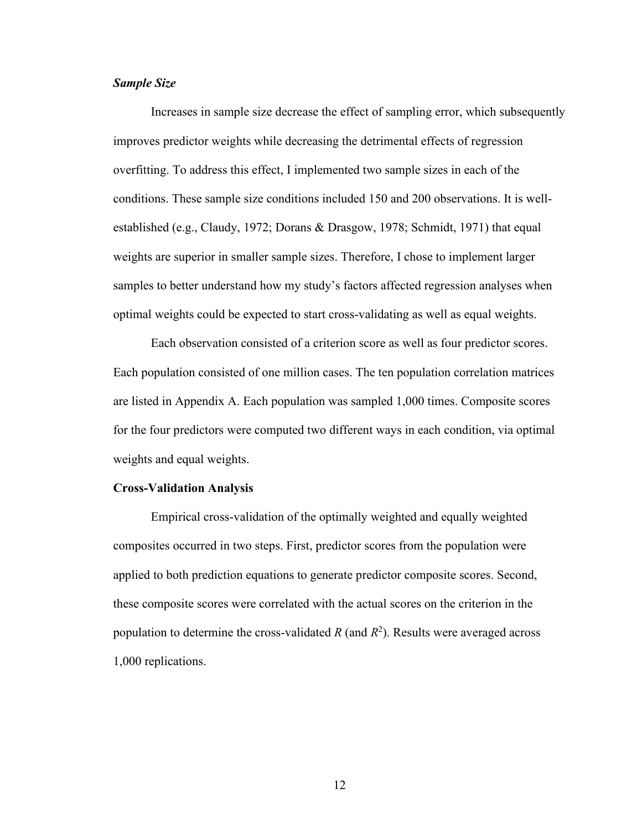### *Sample Size*

Increases in sample size decrease the effect of sampling error, which subsequently improves predictor weights while decreasing the detrimental effects of regression overfitting. To address this effect, I implemented two sample sizes in each of the conditions. These sample size conditions included 150 and 200 observations. It is wellestablished (e.g., Claudy, 1972; Dorans & Drasgow, 1978; Schmidt, 1971) that equal weights are superior in smaller sample sizes. Therefore, I chose to implement larger samples to better understand how my study's factors affected regression analyses when optimal weights could be expected to start cross-validating as well as equal weights.

Each observation consisted of a criterion score as well as four predictor scores. Each population consisted of one million cases. The ten population correlation matrices are listed in Appendix A. Each population was sampled 1,000 times. Composite scores for the four predictors were computed two different ways in each condition, via optimal weights and equal weights.

#### **Cross-Validation Analysis**

Empirical cross-validation of the optimally weighted and equally weighted composites occurred in two steps. First, predictor scores from the population were applied to both prediction equations to generate predictor composite scores. Second, these composite scores were correlated with the actual scores on the criterion in the population to determine the cross-validated  $R$  (and  $R^2$ ). Results were averaged across 1,000 replications.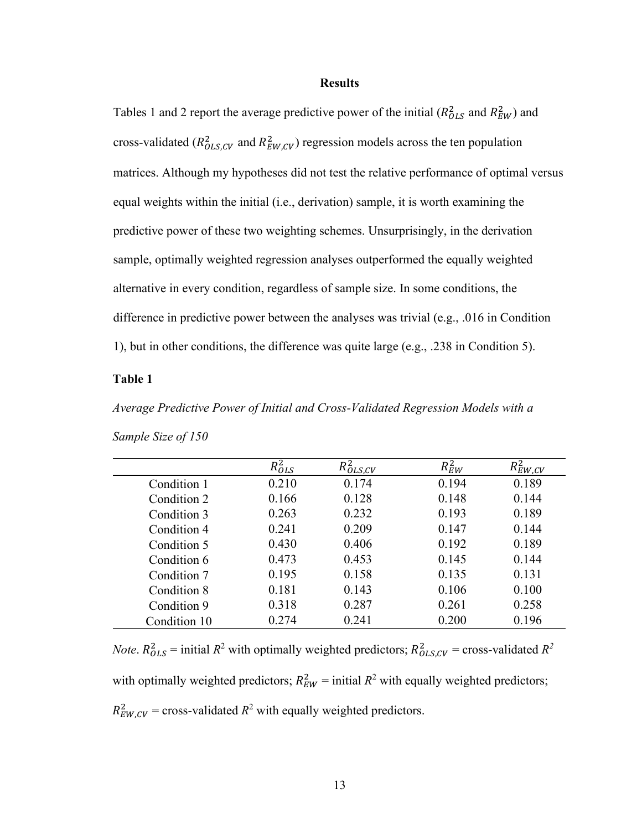#### **Results**

Tables 1 and 2 report the average predictive power of the initial  $(R_{OLS}^2$  and  $R_{EW}^2)$  and cross-validated ( $R_{OLS,CV}^2$  and  $R_{EW,CV}^2$ ) regression models across the ten population matrices. Although my hypotheses did not test the relative performance of optimal versus equal weights within the initial (i.e., derivation) sample, it is worth examining the predictive power of these two weighting schemes. Unsurprisingly, in the derivation sample, optimally weighted regression analyses outperformed the equally weighted alternative in every condition, regardless of sample size. In some conditions, the difference in predictive power between the analyses was trivial (e.g., .016 in Condition 1), but in other conditions, the difference was quite large (e.g., .238 in Condition 5).

### <span id="page-20-0"></span>**Table 1**

*Average Predictive Power of Initial and Cross-Validated Regression Models with a Sample Size of 150*

|              | $\kappa_{OLS}$ | $R_{OLS,CV}^2$ | $R_{EW}^2$ | $\kappa_{EW,CV}$ |
|--------------|----------------|----------------|------------|------------------|
| Condition 1  | 0.210          | 0.174          | 0.194      | 0.189            |
| Condition 2  | 0.166          | 0.128          | 0.148      | 0.144            |
| Condition 3  | 0.263          | 0.232          | 0.193      | 0.189            |
| Condition 4  | 0.241          | 0.209          | 0.147      | 0.144            |
| Condition 5  | 0.430          | 0.406          | 0.192      | 0.189            |
| Condition 6  | 0.473          | 0.453          | 0.145      | 0.144            |
| Condition 7  | 0.195          | 0.158          | 0.135      | 0.131            |
| Condition 8  | 0.181          | 0.143          | 0.106      | 0.100            |
| Condition 9  | 0.318          | 0.287          | 0.261      | 0.258            |
| Condition 10 | 0.274          | 0.241          | 0.200      | 0.196            |

*Note*.  $R_{OLS}^2$  = initial  $R^2$  with optimally weighted predictors;  $R_{OLS,CV}^2$  = cross-validated  $R^2$ with optimally weighted predictors;  $R_{EW}^2$  = initial  $R^2$  with equally weighted predictors;  $R_{EW,CV}^2$  = cross-validated  $R^2$  with equally weighted predictors.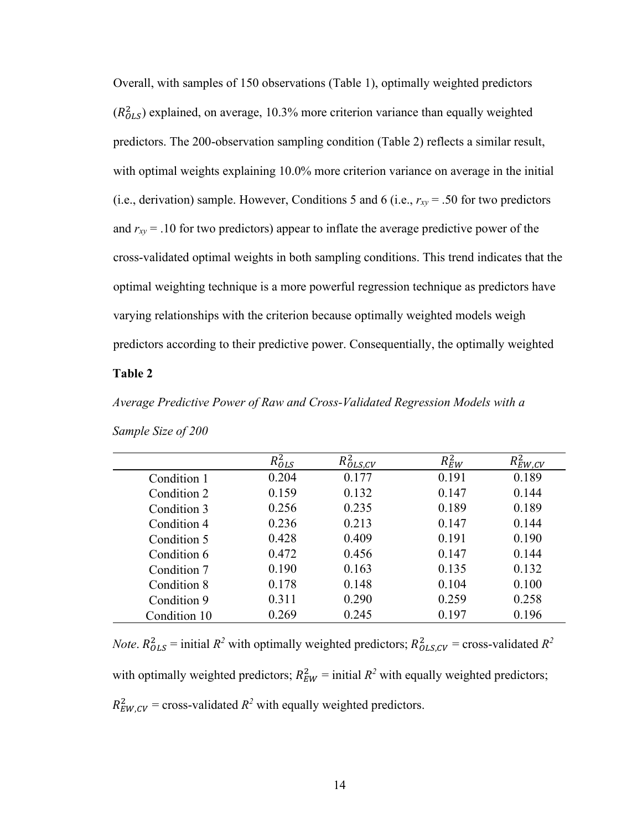Overall, with samples of 150 observations (Table 1), optimally weighted predictors  $(R_{OLS}^2)$  explained, on average, 10.3% more criterion variance than equally weighted predictors. The 200-observation sampling condition (Table 2) reflects a similar result, with optimal weights explaining 10.0% more criterion variance on average in the initial (i.e., derivation) sample. However, Conditions 5 and 6 (i.e.,  $r_{xy} = .50$  for two predictors and *rxy* = .10 for two predictors) appear to inflate the average predictive power of the cross-validated optimal weights in both sampling conditions. This trend indicates that the optimal weighting technique is a more powerful regression technique as predictors have varying relationships with the criterion because optimally weighted models weigh predictors according to their predictive power. Consequentially, the optimally weighted

### **Table 2**

*Average Predictive Power of Raw and Cross-Validated Regression Models with a* 

|              | D <sup>2</sup><br>$K_{OLS}$ | $R_{OLS,CV}^2$ | $R_{EW}^2$ | $R_{EW,CV}^2$ |
|--------------|-----------------------------|----------------|------------|---------------|
| Condition 1  | 0.204                       | 0.177          | 0.191      | 0.189         |
| Condition 2  | 0.159                       | 0.132          | 0.147      | 0.144         |
| Condition 3  | 0.256                       | 0.235          | 0.189      | 0.189         |
| Condition 4  | 0.236                       | 0.213          | 0.147      | 0.144         |
| Condition 5  | 0.428                       | 0.409          | 0.191      | 0.190         |
| Condition 6  | 0.472                       | 0.456          | 0.147      | 0.144         |
| Condition 7  | 0.190                       | 0.163          | 0.135      | 0.132         |
| Condition 8  | 0.178                       | 0.148          | 0.104      | 0.100         |
| Condition 9  | 0.311                       | 0.290          | 0.259      | 0.258         |
| Condition 10 | 0.269                       | 0.245          | 0.197      | 0.196         |

*Sample Size of 200*

*Note*.  $R_{OLS}^2$  = initial  $R^2$  with optimally weighted predictors;  $R_{OLS,CV}^2$  = cross-validated  $R^2$ with optimally weighted predictors;  $R_{EW}^2$  = initial  $R^2$  with equally weighted predictors;  $R_{EW,CV}^2$  = cross-validated  $R^2$  with equally weighted predictors.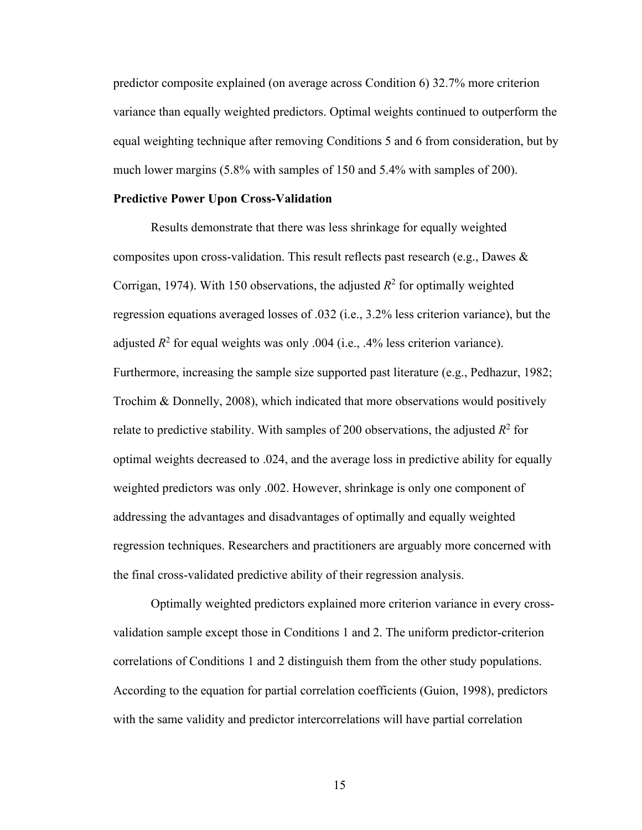predictor composite explained (on average across Condition 6) 32.7% more criterion variance than equally weighted predictors. Optimal weights continued to outperform the equal weighting technique after removing Conditions 5 and 6 from consideration, but by much lower margins (5.8% with samples of 150 and 5.4% with samples of 200).

#### **Predictive Power Upon Cross-Validation**

Results demonstrate that there was less shrinkage for equally weighted composites upon cross-validation. This result reflects past research (e.g., Dawes  $\&$ Corrigan, 1974). With 150 observations, the adjusted  $R^2$  for optimally weighted regression equations averaged losses of .032 (i.e., 3.2% less criterion variance), but the adjusted  $R^2$  for equal weights was only .004 (i.e., .4% less criterion variance). Furthermore, increasing the sample size supported past literature (e.g., Pedhazur, 1982; Trochim & Donnelly, 2008), which indicated that more observations would positively relate to predictive stability. With samples of 200 observations, the adjusted  $R^2$  for optimal weights decreased to .024, and the average loss in predictive ability for equally weighted predictors was only .002. However, shrinkage is only one component of addressing the advantages and disadvantages of optimally and equally weighted regression techniques. Researchers and practitioners are arguably more concerned with the final cross-validated predictive ability of their regression analysis.

Optimally weighted predictors explained more criterion variance in every crossvalidation sample except those in Conditions 1 and 2. The uniform predictor-criterion correlations of Conditions 1 and 2 distinguish them from the other study populations. According to the equation for partial correlation coefficients (Guion, 1998), predictors with the same validity and predictor intercorrelations will have partial correlation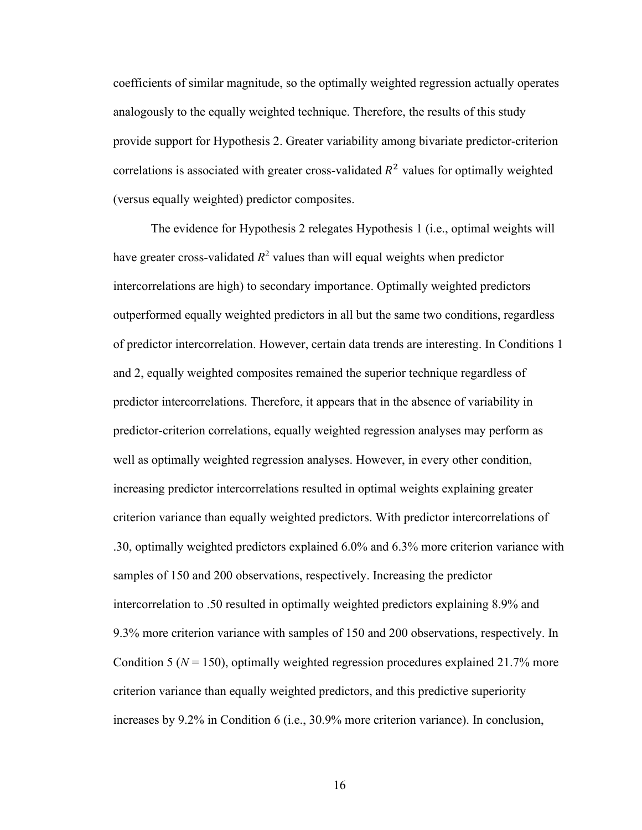coefficients of similar magnitude, so the optimally weighted regression actually operates analogously to the equally weighted technique. Therefore, the results of this study provide support for Hypothesis 2. Greater variability among bivariate predictor-criterion correlations is associated with greater cross-validated  $R<sup>2</sup>$  values for optimally weighted (versus equally weighted) predictor composites.

The evidence for Hypothesis 2 relegates Hypothesis 1 (i.e., optimal weights will have greater cross-validated  $R^2$  values than will equal weights when predictor intercorrelations are high) to secondary importance. Optimally weighted predictors outperformed equally weighted predictors in all but the same two conditions, regardless of predictor intercorrelation. However, certain data trends are interesting. In Conditions 1 and 2, equally weighted composites remained the superior technique regardless of predictor intercorrelations. Therefore, it appears that in the absence of variability in predictor-criterion correlations, equally weighted regression analyses may perform as well as optimally weighted regression analyses. However, in every other condition, increasing predictor intercorrelations resulted in optimal weights explaining greater criterion variance than equally weighted predictors. With predictor intercorrelations of .30, optimally weighted predictors explained 6.0% and 6.3% more criterion variance with samples of 150 and 200 observations, respectively. Increasing the predictor intercorrelation to .50 resulted in optimally weighted predictors explaining 8.9% and 9.3% more criterion variance with samples of 150 and 200 observations, respectively. In Condition 5 ( $N = 150$ ), optimally weighted regression procedures explained 21.7% more criterion variance than equally weighted predictors, and this predictive superiority increases by 9.2% in Condition 6 (i.e., 30.9% more criterion variance). In conclusion,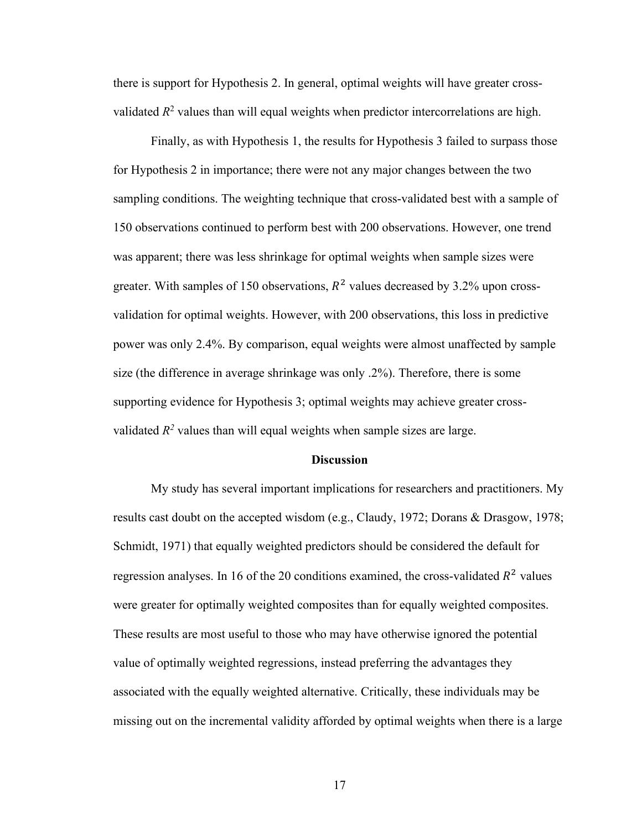there is support for Hypothesis 2. In general, optimal weights will have greater crossvalidated  $R^2$  values than will equal weights when predictor intercorrelations are high.

Finally, as with Hypothesis 1, the results for Hypothesis 3 failed to surpass those for Hypothesis 2 in importance; there were not any major changes between the two sampling conditions. The weighting technique that cross-validated best with a sample of 150 observations continued to perform best with 200 observations. However, one trend was apparent; there was less shrinkage for optimal weights when sample sizes were greater. With samples of 150 observations,  $R^2$  values decreased by 3.2% upon crossvalidation for optimal weights. However, with 200 observations, this loss in predictive power was only 2.4%. By comparison, equal weights were almost unaffected by sample size (the difference in average shrinkage was only .2%). Therefore, there is some supporting evidence for Hypothesis 3; optimal weights may achieve greater crossvalidated  $R^2$  values than will equal weights when sample sizes are large.

#### **Discussion**

My study has several important implications for researchers and practitioners. My results cast doubt on the accepted wisdom (e.g., Claudy, 1972; Dorans & Drasgow, 1978; Schmidt, 1971) that equally weighted predictors should be considered the default for regression analyses. In 16 of the 20 conditions examined, the cross-validated  $R^2$  values were greater for optimally weighted composites than for equally weighted composites. These results are most useful to those who may have otherwise ignored the potential value of optimally weighted regressions, instead preferring the advantages they associated with the equally weighted alternative. Critically, these individuals may be missing out on the incremental validity afforded by optimal weights when there is a large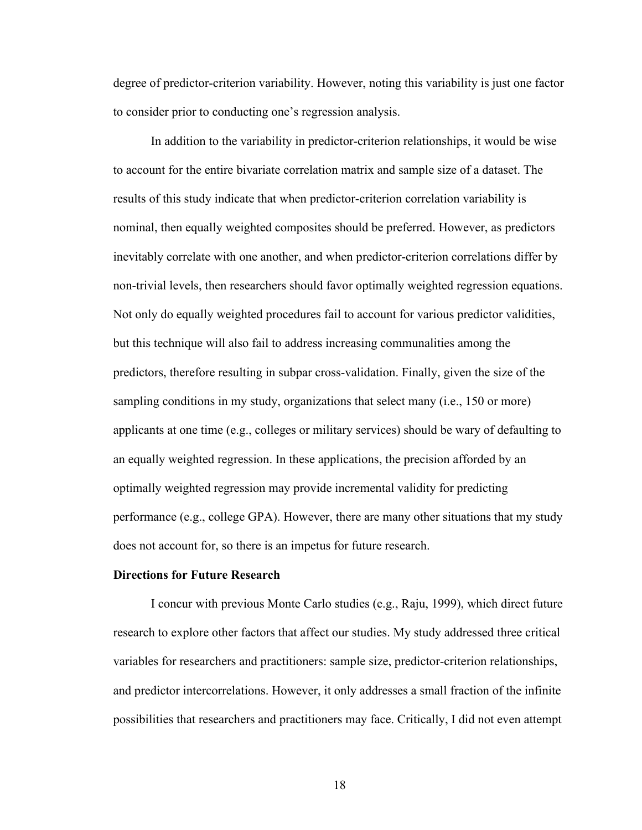degree of predictor-criterion variability. However, noting this variability is just one factor to consider prior to conducting one's regression analysis.

In addition to the variability in predictor-criterion relationships, it would be wise to account for the entire bivariate correlation matrix and sample size of a dataset. The results of this study indicate that when predictor-criterion correlation variability is nominal, then equally weighted composites should be preferred. However, as predictors inevitably correlate with one another, and when predictor-criterion correlations differ by non-trivial levels, then researchers should favor optimally weighted regression equations. Not only do equally weighted procedures fail to account for various predictor validities, but this technique will also fail to address increasing communalities among the predictors, therefore resulting in subpar cross-validation. Finally, given the size of the sampling conditions in my study, organizations that select many (i.e., 150 or more) applicants at one time (e.g., colleges or military services) should be wary of defaulting to an equally weighted regression. In these applications, the precision afforded by an optimally weighted regression may provide incremental validity for predicting performance (e.g., college GPA). However, there are many other situations that my study does not account for, so there is an impetus for future research.

#### **Directions for Future Research**

I concur with previous Monte Carlo studies (e.g., Raju, 1999), which direct future research to explore other factors that affect our studies. My study addressed three critical variables for researchers and practitioners: sample size, predictor-criterion relationships, and predictor intercorrelations. However, it only addresses a small fraction of the infinite possibilities that researchers and practitioners may face. Critically, I did not even attempt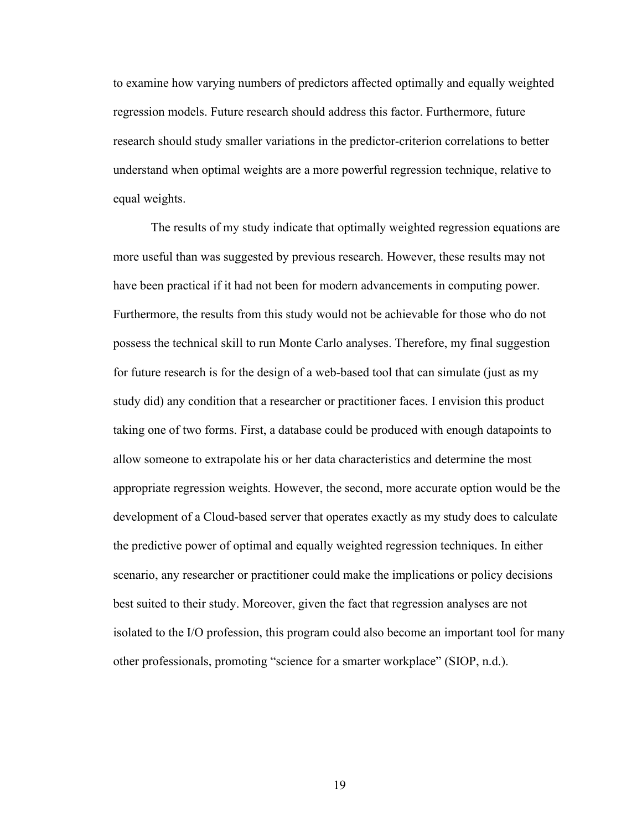to examine how varying numbers of predictors affected optimally and equally weighted regression models. Future research should address this factor. Furthermore, future research should study smaller variations in the predictor-criterion correlations to better understand when optimal weights are a more powerful regression technique, relative to equal weights.

The results of my study indicate that optimally weighted regression equations are more useful than was suggested by previous research. However, these results may not have been practical if it had not been for modern advancements in computing power. Furthermore, the results from this study would not be achievable for those who do not possess the technical skill to run Monte Carlo analyses. Therefore, my final suggestion for future research is for the design of a web-based tool that can simulate (just as my study did) any condition that a researcher or practitioner faces. I envision this product taking one of two forms. First, a database could be produced with enough datapoints to allow someone to extrapolate his or her data characteristics and determine the most appropriate regression weights. However, the second, more accurate option would be the development of a Cloud-based server that operates exactly as my study does to calculate the predictive power of optimal and equally weighted regression techniques. In either scenario, any researcher or practitioner could make the implications or policy decisions best suited to their study. Moreover, given the fact that regression analyses are not isolated to the I/O profession, this program could also become an important tool for many other professionals, promoting "science for a smarter workplace" (SIOP, n.d.).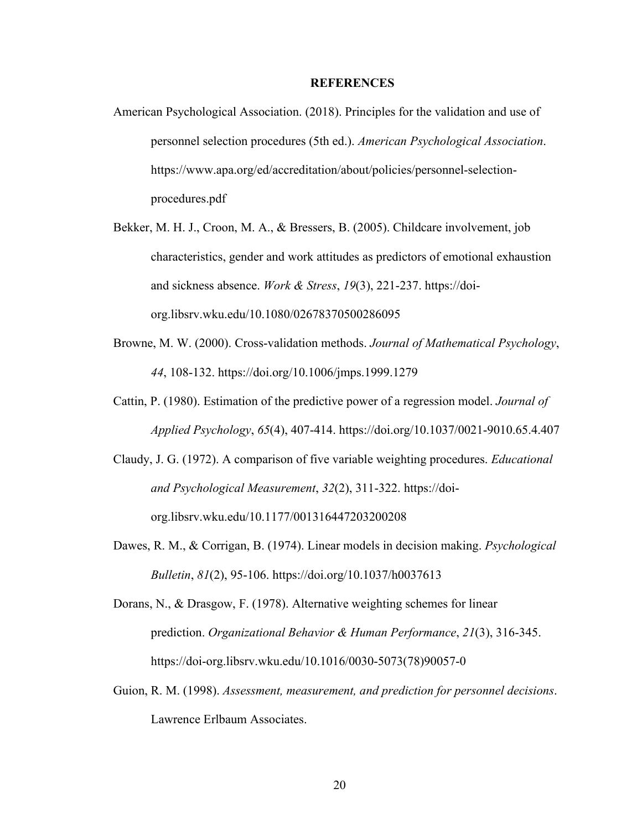#### **REFERENCES**

- American Psychological Association. (2018). Principles for the validation and use of personnel selection procedures (5th ed.). *American Psychological Association*. https://www.apa.org/ed/accreditation/about/policies/personnel-selectionprocedures.pdf
- Bekker, M. H. J., Croon, M. A., & Bressers, B. (2005). Childcare involvement, job characteristics, gender and work attitudes as predictors of emotional exhaustion and sickness absence. *Work & Stress*, *19*(3), 221-237. https://doiorg.libsrv.wku.edu/10.1080/02678370500286095
- Browne, M. W. (2000). Cross-validation methods. *Journal of Mathematical Psychology*, *44*, 108-132. https://doi.org/10.1006/jmps.1999.1279
- Cattin, P. (1980). Estimation of the predictive power of a regression model. *Journal of Applied Psychology*, *65*(4), 407-414. https://doi.org/10.1037/0021-9010.65.4.407
- Claudy, J. G. (1972). A comparison of five variable weighting procedures. *Educational and Psychological Measurement*, *32*(2), 311-322. https://doiorg.libsrv.wku.edu/10.1177/001316447203200208
- Dawes, R. M., & Corrigan, B. (1974). Linear models in decision making. *Psychological Bulletin*, *81*(2), 95-106. https://doi.org/10.1037/h0037613
- Dorans, N., & Drasgow, F. (1978). Alternative weighting schemes for linear prediction. *Organizational Behavior & Human Performance*, *21*(3), 316-345. https://doi-org.libsrv.wku.edu/10.1016/0030-5073(78)90057-0
- Guion, R. M. (1998). *Assessment, measurement, and prediction for personnel decisions*. Lawrence Erlbaum Associates.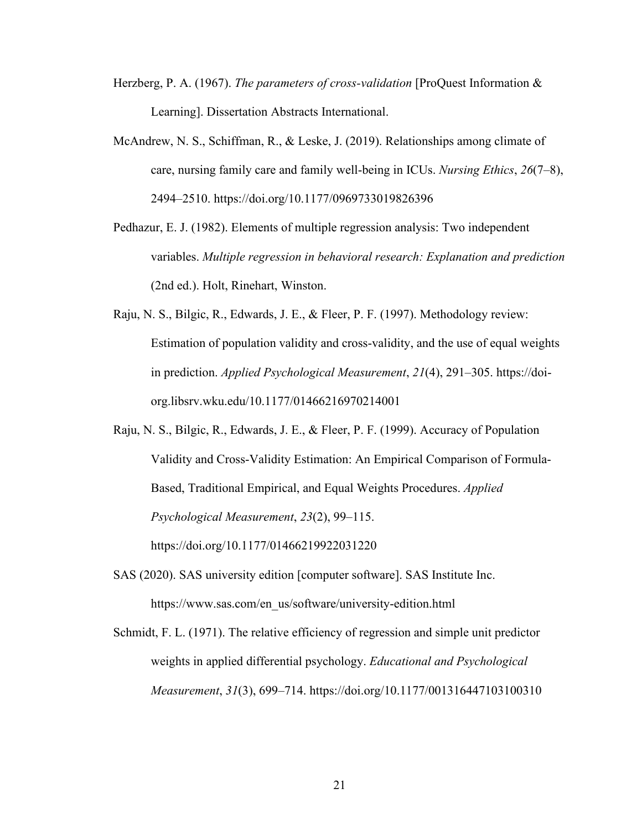- Herzberg, P. A. (1967). *The parameters of cross-validation* [ProQuest Information & Learning]. Dissertation Abstracts International.
- McAndrew, N. S., Schiffman, R., & Leske, J. (2019). Relationships among climate of care, nursing family care and family well-being in ICUs. *Nursing Ethics*, *26*(7–8), 2494–2510. https://doi.org/10.1177/0969733019826396
- Pedhazur, E. J. (1982). Elements of multiple regression analysis: Two independent variables. *Multiple regression in behavioral research: Explanation and prediction* (2nd ed.). Holt, Rinehart, Winston.
- Raju, N. S., Bilgic, R., Edwards, J. E., & Fleer, P. F. (1997). Methodology review: Estimation of population validity and cross-validity, and the use of equal weights in prediction. *Applied Psychological Measurement*, *21*(4), 291–305. https://doiorg.libsrv.wku.edu/10.1177/01466216970214001
- Raju, N. S., Bilgic, R., Edwards, J. E., & Fleer, P. F. (1999). Accuracy of Population Validity and Cross-Validity Estimation: An Empirical Comparison of Formula-Based, Traditional Empirical, and Equal Weights Procedures. *Applied Psychological Measurement*, *23*(2), 99–115. https://doi.org/10.1177/01466219922031220
- SAS (2020). SAS university edition [computer software]. SAS Institute Inc. https://www.sas.com/en\_us/software/university-edition.html
- Schmidt, F. L. (1971). The relative efficiency of regression and simple unit predictor weights in applied differential psychology. *Educational and Psychological Measurement*, *31*(3), 699–714. https://doi.org/10.1177/001316447103100310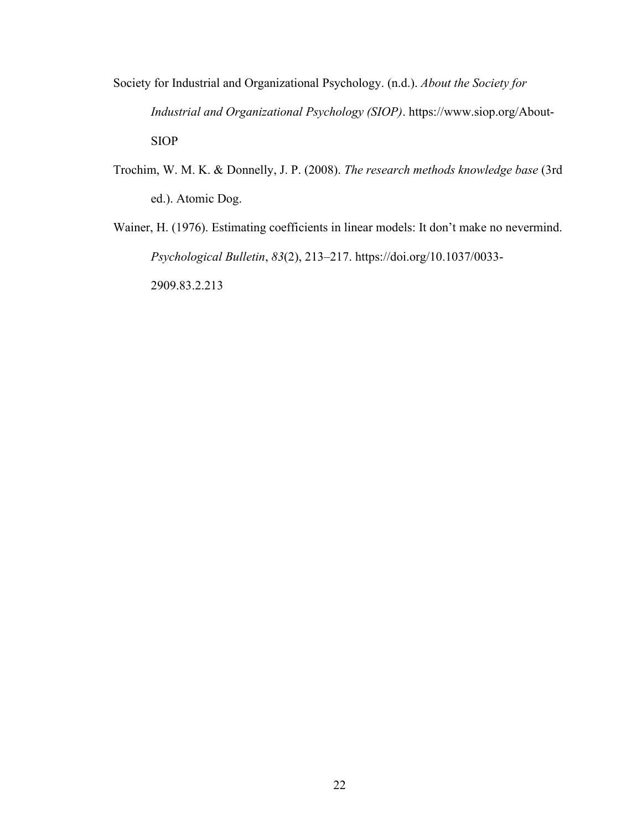- Society for Industrial and Organizational Psychology. (n.d.). *About the Society for Industrial and Organizational Psychology (SIOP)*. https://www.siop.org/About-SIOP
- Trochim, W. M. K. & Donnelly, J. P. (2008). *The research methods knowledge base* (3rd ed.). Atomic Dog.
- Wainer, H. (1976). Estimating coefficients in linear models: It don't make no nevermind. *Psychological Bulletin*, *83*(2), 213–217. https://doi.org/10.1037/0033- 2909.83.2.213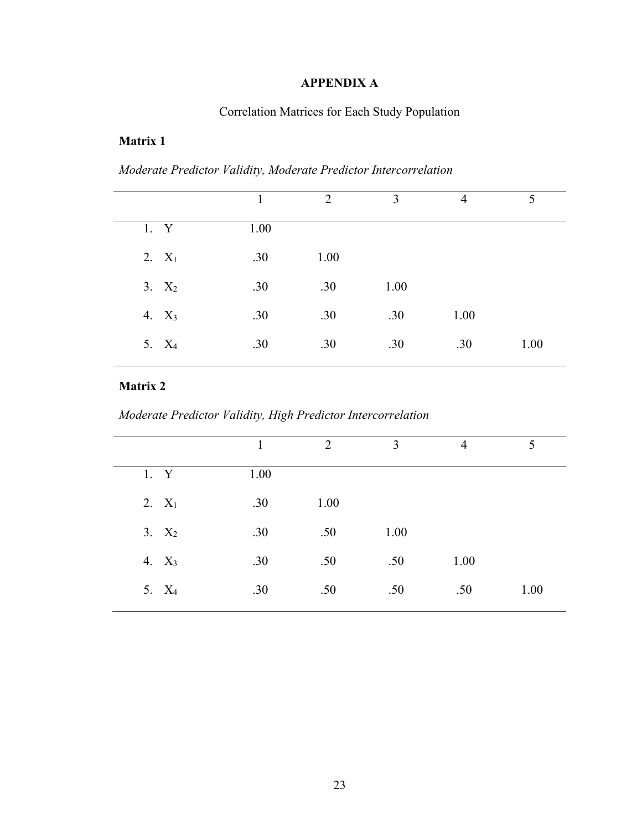# **APPENDIX A**

# Correlation Matrices for Each Study Population

### **Matrix 1**

*Moderate Predictor Validity, Moderate Predictor Intercorrelation* 

|                   | 1    | 2    | 3    | 4    | 5    |
|-------------------|------|------|------|------|------|
| 1. Y              | 1.00 |      |      |      |      |
| $2. X_1$          | .30  | 1.00 |      |      |      |
| $3. X_2$          | .30  | .30  | 1.00 |      |      |
| 4. $X_3$          | .30  | .30  | .30  | 1.00 |      |
| 5. X <sub>4</sub> | .30  | .30  | .30  | .30  | 1.00 |
|                   |      |      |      |      |      |

*Moderate Predictor Validity, High Predictor Intercorrelation* 

|                   |      | $\overline{2}$ | 3    | $\overline{4}$ | 5    |
|-------------------|------|----------------|------|----------------|------|
| 1. Y              | 1.00 |                |      |                |      |
| 2. $X_1$          | .30  | 1.00           |      |                |      |
| $3. X_2$          | .30  | .50            | 1.00 |                |      |
| 4. $X_3$          | .30  | .50            | .50  | 1.00           |      |
| 5. X <sub>4</sub> | .30  | .50            | .50  | .50            | 1.00 |
|                   |      |                |      |                |      |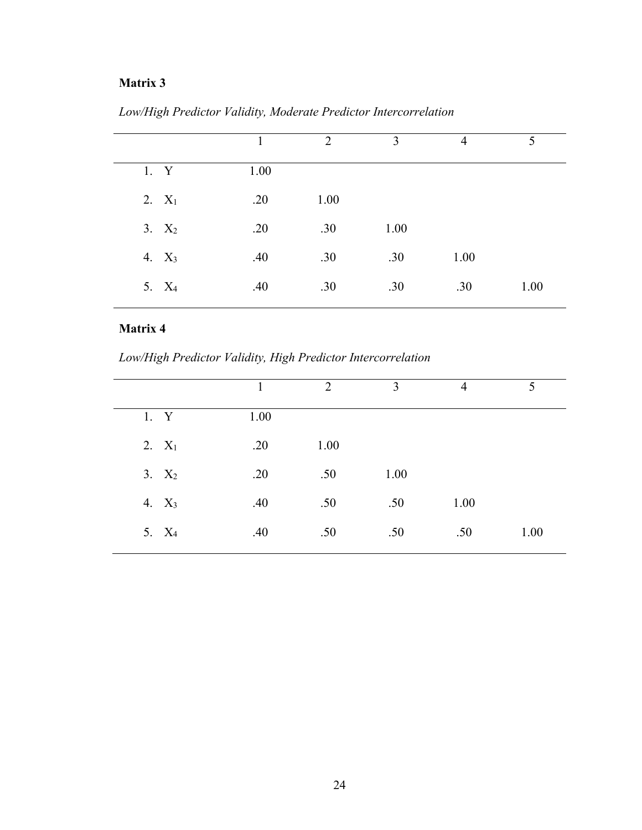|                   |      | $\overline{2}$ | 3    | $\overline{4}$ | 5    |
|-------------------|------|----------------|------|----------------|------|
| 1. Y              | 1.00 |                |      |                |      |
| $2. X_1$          | .20  | 1.00           |      |                |      |
| 3. $X_2$          | .20  | .30            | 1.00 |                |      |
| 4. $X_3$          | .40  | .30            | .30  | 1.00           |      |
| 5. X <sub>4</sub> | .40  | .30            | .30  | .30            | 1.00 |
|                   |      |                |      |                |      |

*Low/High Predictor Validity, Moderate Predictor Intercorrelation*

*Low/High Predictor Validity, High Predictor Intercorrelation*

|                   | 1    | 2    | 3    | $\overline{4}$ | 5    |
|-------------------|------|------|------|----------------|------|
|                   |      |      |      |                |      |
| 1. Y              | 1.00 |      |      |                |      |
| 2. $X_1$          | .20  | 1.00 |      |                |      |
| $3. X_2$          | .20  | .50  | 1.00 |                |      |
| 4. $X_3$          | .40  | .50  | .50  | 1.00           |      |
| 5. X <sub>4</sub> | .40  | .50  | .50  | .50            | 1.00 |
|                   |      |      |      |                |      |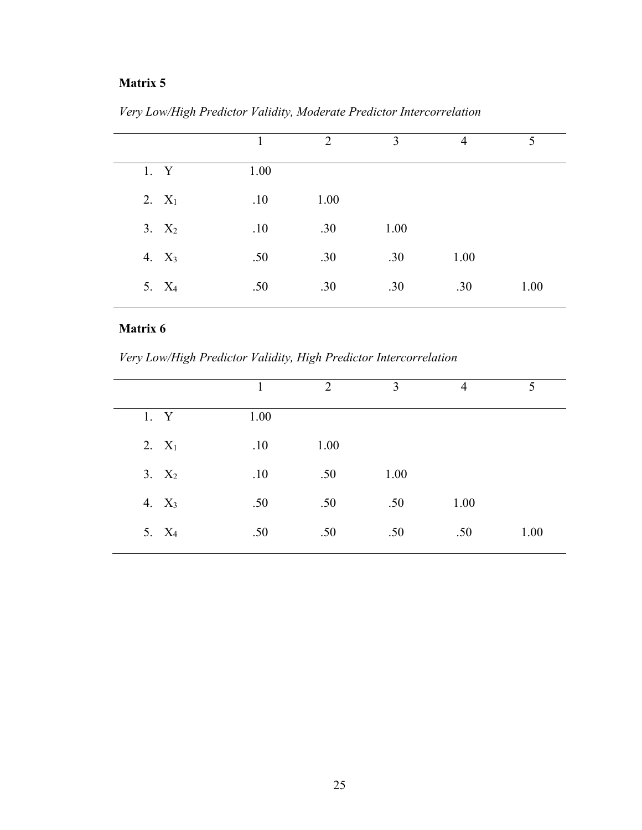|                   | 1    | 2    | 3    | $\overline{4}$ | 5    |
|-------------------|------|------|------|----------------|------|
| 1. Y              | 1.00 |      |      |                |      |
| $2. X_1$          | .10  | 1.00 |      |                |      |
| 3. $X_2$          | .10  | .30  | 1.00 |                |      |
| 4. $X_3$          | .50  | .30  | .30  | 1.00           |      |
| 5. X <sub>4</sub> | .50  | .30  | .30  | .30            | 1.00 |

*Very Low/High Predictor Validity, Moderate Predictor Intercorrelation*

*Very Low/High Predictor Validity, High Predictor Intercorrelation*

|                   | 1    | 2    | 3    | $\overline{4}$ | 5    |
|-------------------|------|------|------|----------------|------|
| 1. Y              | 1.00 |      |      |                |      |
| 2. $X_1$          | .10  | 1.00 |      |                |      |
| $3. X_2$          | .10  | .50  | 1.00 |                |      |
| 4. $X_3$          | .50  | .50  | .50  | 1.00           |      |
| 5. X <sub>4</sub> | .50  | .50  | .50  | .50            | 1.00 |
|                   |      |      |      |                |      |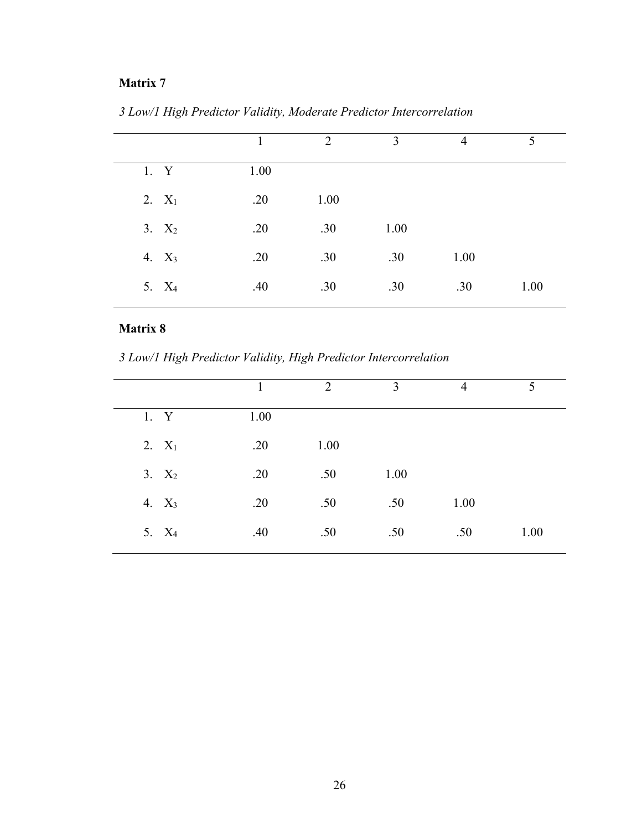|                   | 1    | 2    | 3    | $\overline{4}$ | 5    |
|-------------------|------|------|------|----------------|------|
| 1. Y              | 1.00 |      |      |                |      |
| 2. $X_1$          | .20  | 1.00 |      |                |      |
| 3. $X_2$          | .20  | .30  | 1.00 |                |      |
| 4. $X_3$          | .20  | .30  | .30  | 1.00           |      |
| 5. X <sub>4</sub> | .40  | .30  | .30  | .30            | 1.00 |

*3 Low/1 High Predictor Validity, Moderate Predictor Intercorrelation*

*3 Low/1 High Predictor Validity, High Predictor Intercorrelation*

|                   | 1    | 2    | 3    | $\overline{4}$ | 5    |
|-------------------|------|------|------|----------------|------|
| 1. Y              | 1.00 |      |      |                |      |
| 2. $X_1$          | .20  | 1.00 |      |                |      |
| $3. X_2$          | .20  | .50  | 1.00 |                |      |
| 4. $X_3$          | .20  | .50  | .50  | 1.00           |      |
| 5. X <sub>4</sub> | .40  | .50  | .50  | .50            | 1.00 |
|                   |      |      |      |                |      |